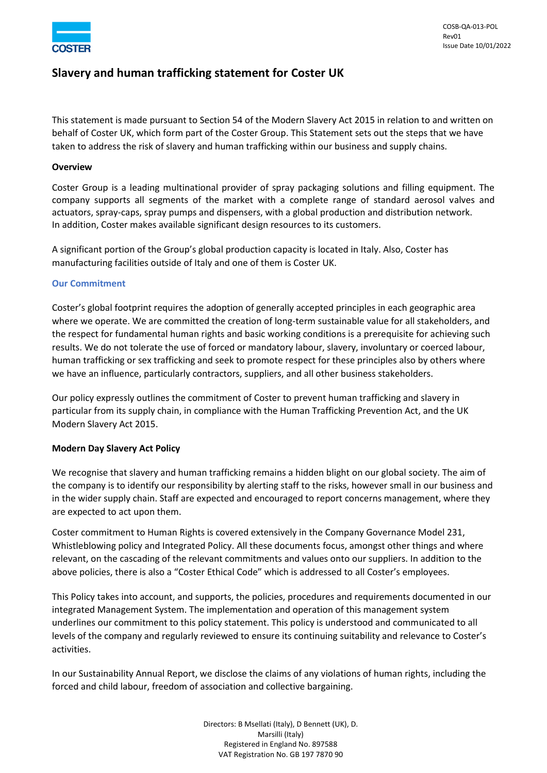

# **Slavery and human trafficking statement for Coster UK**

This statement is made pursuant to Section 54 of the Modern Slavery Act 2015 in relation to and written on behalf of Coster UK, which form part of the Coster Group. This Statement sets out the steps that we have taken to address the risk of slavery and human trafficking within our business and supply chains.

### **Overview**

Coster Group is a leading multinational provider of spray packaging solutions and filling equipment. The company supports all segments of the market with a complete range of standard aerosol valves and actuators, spray-caps, spray pumps and dispensers, with a global production and distribution network. In addition, Coster makes available significant design resources to its customers.

A significant portion of the Group's global production capacity is located in Italy. Also, Coster has manufacturing facilities outside of Italy and one of them is Coster UK.

#### **Our Commitment**

Coster's global footprint requires the adoption of generally accepted principles in each geographic area where we operate. We are committed the creation of long-term sustainable value for all stakeholders, and the respect for fundamental human rights and basic working conditions is a prerequisite for achieving such results. We do not tolerate the use of forced or mandatory labour, slavery, involuntary or coerced labour, human trafficking or sex trafficking and seek to promote respect for these principles also by others where we have an influence, particularly contractors, suppliers, and all other business stakeholders.

Our policy expressly outlines the commitment of Coster to prevent human trafficking and slavery in particular from its supply chain, in compliance with the Human Trafficking Prevention Act, and the UK Modern Slavery Act 2015.

## **Modern Day Slavery Act Policy**

We recognise that slavery and human trafficking remains a hidden blight on our global society. The aim of the company is to identify our responsibility by alerting staff to the risks, however small in our business and in the wider supply chain. Staff are expected and encouraged to report concerns management, where they are expected to act upon them.

Coster commitment to Human Rights is covered extensively in the Company Governance Model 231, Whistleblowing policy and Integrated Policy. All these documents focus, amongst other things and where relevant, on the cascading of the relevant commitments and values onto our suppliers. In addition to the above policies, there is also a "Coster Ethical Code" which is addressed to all Coster's employees.

This Policy takes into account, and supports, the policies, procedures and requirements documented in our integrated Management System. The implementation and operation of this management system underlines our commitment to this policy statement. This policy is understood and communicated to all levels of the company and regularly reviewed to ensure its continuing suitability and relevance to Coster's activities.

In our Sustainability Annual Report, we disclose the claims of any violations of human rights, including the forced and child labour, freedom of association and collective bargaining.

> Directors: B Msellati (Italy), D Bennett (UK), D. Marsilli (Italy) Registered in England No. 897588 VAT Registration No. GB 197 7870 90